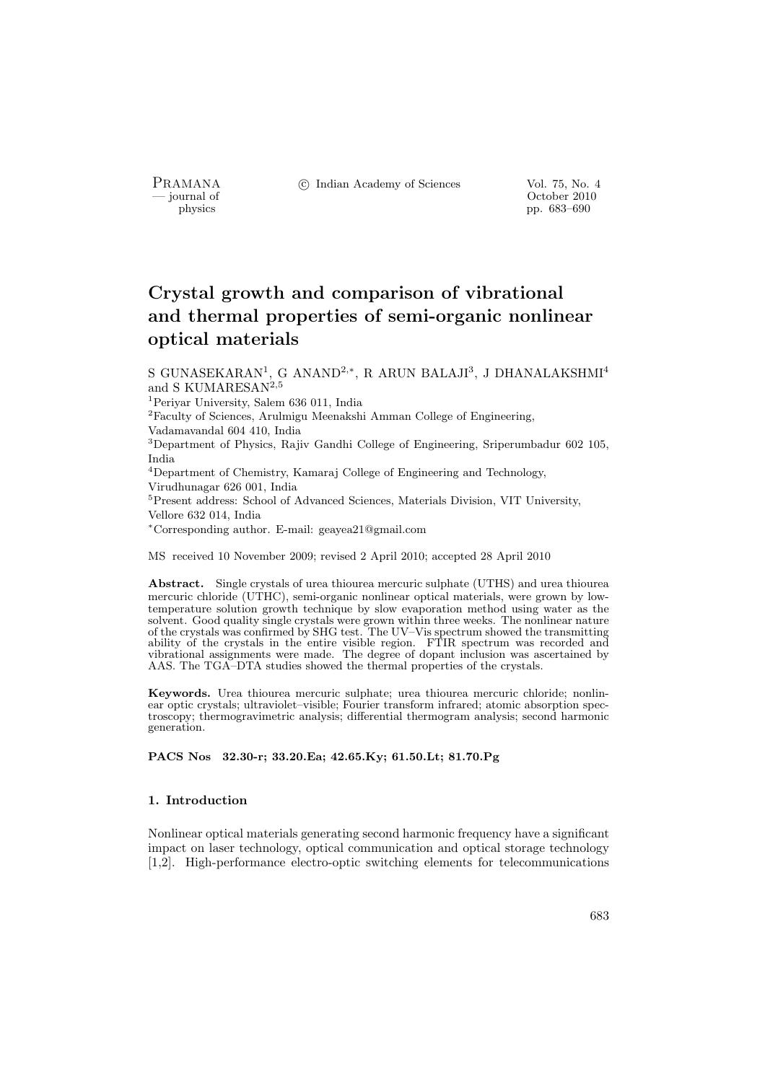PRAMANA <sup>C</sup> Indian Academy of Sciences Vol. 75, No. 4<br>
— journal of Cortober 2010

position of the contract of the contract of the contract of the contract of the contract of the contract of the contract of the contract of the contract of the contract of the contract of the contract of the contract of th physics pp. 683–690

# Crystal growth and comparison of vibrational and thermal properties of semi-organic nonlinear optical materials

S GUNASEKARAN<sup>1</sup>, G ANAND<sup>2,\*</sup>, R ARUN BALAJI<sup>3</sup>, J DHANALAKSHMI<sup>4</sup> and S KUMARESAN<sup>2,5</sup>

<sup>1</sup>Periyar University, Salem 636 011, India

<sup>2</sup>Faculty of Sciences, Arulmigu Meenakshi Amman College of Engineering,

Vadamavandal 604 410, India

<sup>3</sup>Department of Physics, Rajiv Gandhi College of Engineering, Sriperumbadur 602 105, India

<sup>4</sup>Department of Chemistry, Kamaraj College of Engineering and Technology, Virudhunagar 626 001, India

<sup>5</sup>Present address: School of Advanced Sciences, Materials Division, VIT University, Vellore 632 014, India

<sup>∗</sup>Corresponding author. E-mail: geayea21@gmail.com

MS received 10 November 2009; revised 2 April 2010; accepted 28 April 2010

Abstract. Single crystals of urea thiourea mercuric sulphate (UTHS) and urea thiourea mercuric chloride (UTHC), semi-organic nonlinear optical materials, were grown by lowtemperature solution growth technique by slow evaporation method using water as the solvent. Good quality single crystals were grown within three weeks. The nonlinear nature of the crystals was confirmed by SHG test. The UV–Vis spectrum showed the transmitting ability of the crystals in the entire visible region. FTIR spectrum was recorded and vibrational assignments were made. The degree of dopant inclusion was ascertained by AAS. The TGA–DTA studies showed the thermal properties of the crystals.

Keywords. Urea thiourea mercuric sulphate; urea thiourea mercuric chloride; nonlinear optic crystals; ultraviolet–visible; Fourier transform infrared; atomic absorption spectroscopy; thermogravimetric analysis; differential thermogram analysis; second harmonic generation.

PACS Nos 32.30-r; 33.20.Ea; 42.65.Ky; 61.50.Lt; 81.70.Pg

#### 1. Introduction

Nonlinear optical materials generating second harmonic frequency have a significant impact on laser technology, optical communication and optical storage technology [1,2]. High-performance electro-optic switching elements for telecommunications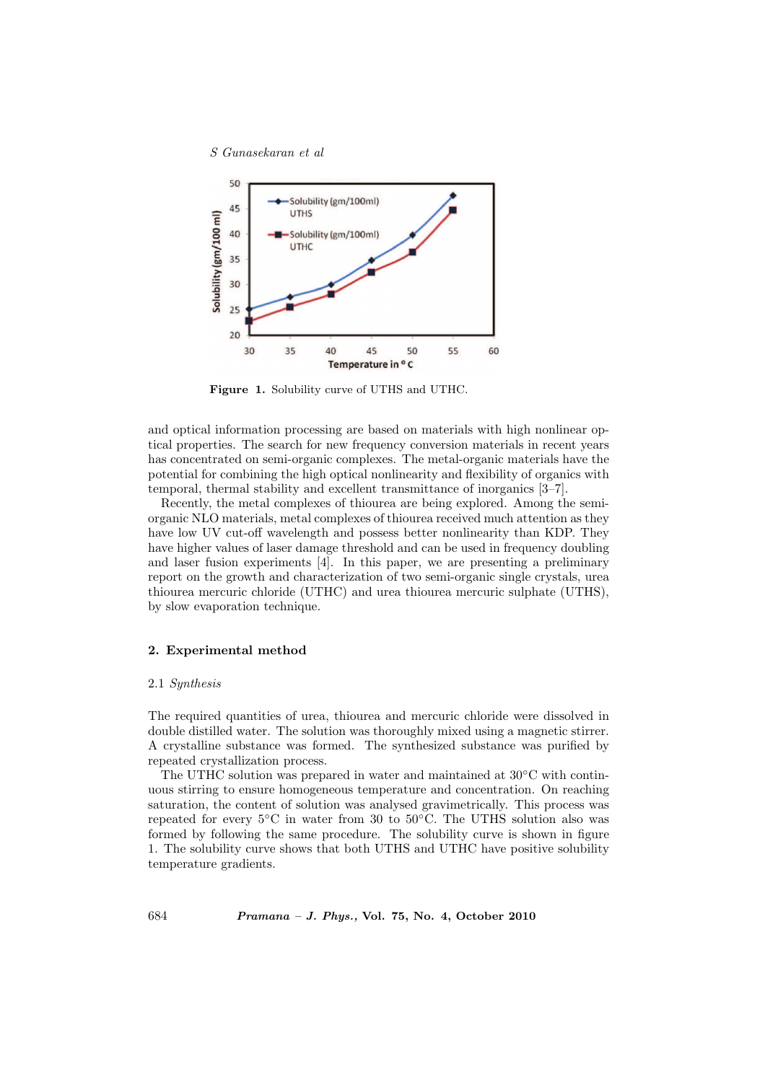

Figure 1. Solubility curve of UTHS and UTHC.

and optical information processing are based on materials with high nonlinear optical properties. The search for new frequency conversion materials in recent years has concentrated on semi-organic complexes. The metal-organic materials have the potential for combining the high optical nonlinearity and flexibility of organics with temporal, thermal stability and excellent transmittance of inorganics [3–7].

Recently, the metal complexes of thiourea are being explored. Among the semiorganic NLO materials, metal complexes of thiourea received much attention as they have low UV cut-off wavelength and possess better nonlinearity than KDP. They have higher values of laser damage threshold and can be used in frequency doubling and laser fusion experiments [4]. In this paper, we are presenting a preliminary report on the growth and characterization of two semi-organic single crystals, urea thiourea mercuric chloride (UTHC) and urea thiourea mercuric sulphate (UTHS), by slow evaporation technique.

## 2. Experimental method

#### 2.1 Synthesis

The required quantities of urea, thiourea and mercuric chloride were dissolved in double distilled water. The solution was thoroughly mixed using a magnetic stirrer. A crystalline substance was formed. The synthesized substance was purified by repeated crystallization process.

The UTHC solution was prepared in water and maintained at  $30^{\circ}$ C with continuous stirring to ensure homogeneous temperature and concentration. On reaching saturation, the content of solution was analysed gravimetrically. This process was repeated for every  $5°C$  in water from 30 to  $50°C$ . The UTHS solution also was formed by following the same procedure. The solubility curve is shown in figure 1. The solubility curve shows that both UTHS and UTHC have positive solubility temperature gradients.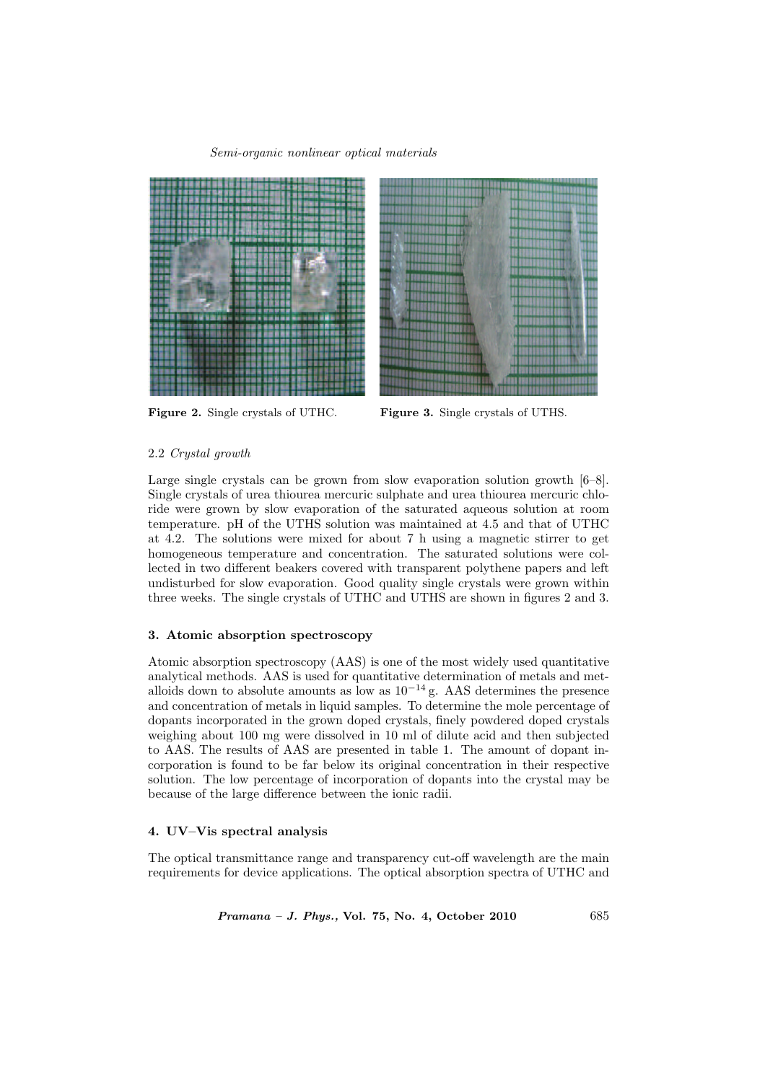#### Semi-organic nonlinear optical materials





Figure 2. Single crystals of UTHC. Figure 3. Single crystals of UTHS.

#### 2.2 Crystal growth

Large single crystals can be grown from slow evaporation solution growth  $[6-8]$ . Single crystals of urea thiourea mercuric sulphate and urea thiourea mercuric chloride were grown by slow evaporation of the saturated aqueous solution at room temperature. pH of the UTHS solution was maintained at 4.5 and that of UTHC at 4.2. The solutions were mixed for about 7 h using a magnetic stirrer to get homogeneous temperature and concentration. The saturated solutions were collected in two different beakers covered with transparent polythene papers and left undisturbed for slow evaporation. Good quality single crystals were grown within three weeks. The single crystals of UTHC and UTHS are shown in figures 2 and 3.

#### 3. Atomic absorption spectroscopy

Atomic absorption spectroscopy (AAS) is one of the most widely used quantitative analytical methods. AAS is used for quantitative determination of metals and metalloids down to absolute amounts as low as  $10^{-14}$  g. AAS determines the presence and concentration of metals in liquid samples. To determine the mole percentage of dopants incorporated in the grown doped crystals, finely powdered doped crystals weighing about 100 mg were dissolved in 10 ml of dilute acid and then subjected to AAS. The results of AAS are presented in table 1. The amount of dopant incorporation is found to be far below its original concentration in their respective solution. The low percentage of incorporation of dopants into the crystal may be because of the large difference between the ionic radii.

#### 4. UV–Vis spectral analysis

The optical transmittance range and transparency cut-off wavelength are the main requirements for device applications. The optical absorption spectra of UTHC and

Pramana – J. Phys., Vol. 75, No. 4, October 2010 685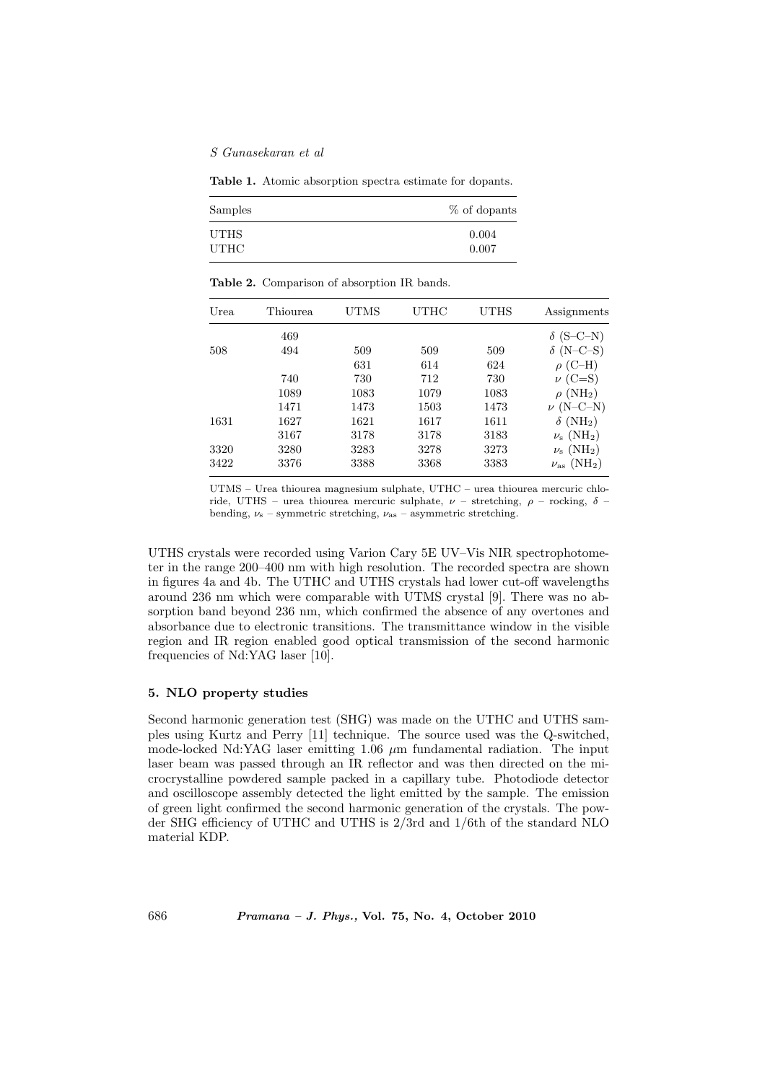Table 1. Atomic absorption spectra estimate for dopants.

| Samples     | % of dopants |
|-------------|--------------|
| UTHS        | 0.004        |
| <b>UTHC</b> | 0.007        |

|  |  | <b>Table 2.</b> Comparison of absorption IR bands. |  |
|--|--|----------------------------------------------------|--|
|--|--|----------------------------------------------------|--|

| Urea | Thiourea | UTMS | <b>UTHC</b> | UTHS | Assignments                      |
|------|----------|------|-------------|------|----------------------------------|
|      | 469      |      |             |      | $\delta$ (S-C-N)                 |
| 508  | 494      | 509  | 509         | 509  | $\delta$ (N-C-S)                 |
|      |          | 631  | 614         | 624  | $\rho$ (C-H)                     |
|      | 740      | 730  | 712         | 730  | $\nu$ (C=S)                      |
|      | 1089     | 1083 | 1079        | 1083 | $\rho$ (NH <sub>2</sub> )        |
|      | 1471     | 1473 | 1503        | 1473 | $\nu$ (N-C-N)                    |
| 1631 | 1627     | 1621 | 1617        | 1611 | $\delta$ (NH <sub>2</sub> )      |
|      | 3167     | 3178 | 3178        | 3183 | $\nu_{\rm s}~({\rm NH_2})$       |
| 3320 | 3280     | 3283 | 3278        | 3273 | $\nu_{\rm s}$ (NH <sub>2</sub> ) |
| 3422 | 3376     | 3388 | 3368        | 3383 | $\nu_{\rm as}~(\rm NH_2)$        |

UTMS – Urea thiourea magnesium sulphate, UTHC – urea thiourea mercuric chloride, UTHS – urea thiourea mercuric sulphate,  $\nu$  – stretching,  $\rho$  – rocking,  $\delta$  – bending,  $\nu_s$  – symmetric stretching,  $\nu_{as}$  – asymmetric stretching.

UTHS crystals were recorded using Varion Cary 5E UV–Vis NIR spectrophotometer in the range 200–400 nm with high resolution. The recorded spectra are shown in figures 4a and 4b. The UTHC and UTHS crystals had lower cut-off wavelengths around 236 nm which were comparable with UTMS crystal [9]. There was no absorption band beyond 236 nm, which confirmed the absence of any overtones and absorbance due to electronic transitions. The transmittance window in the visible region and IR region enabled good optical transmission of the second harmonic frequencies of Nd:YAG laser [10].

## 5. NLO property studies

Second harmonic generation test (SHG) was made on the UTHC and UTHS samples using Kurtz and Perry [11] technique. The source used was the Q-switched, mode-locked Nd:YAG laser emitting  $1.06 \mu m$  fundamental radiation. The input laser beam was passed through an IR reflector and was then directed on the microcrystalline powdered sample packed in a capillary tube. Photodiode detector and oscilloscope assembly detected the light emitted by the sample. The emission of green light confirmed the second harmonic generation of the crystals. The powder SHG efficiency of UTHC and UTHS is 2/3rd and 1/6th of the standard NLO material KDP.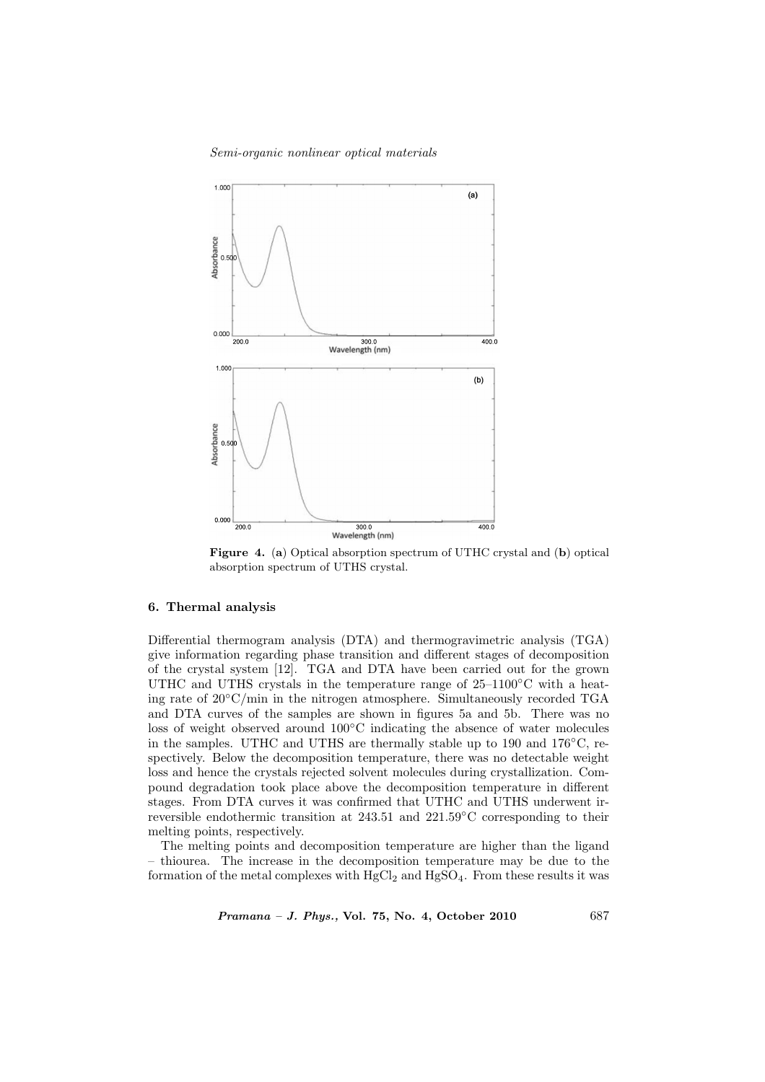#### Semi-organic nonlinear optical materials



Figure 4. (a) Optical absorption spectrum of UTHC crystal and (b) optical absorption spectrum of UTHS crystal.

#### 6. Thermal analysis

Differential thermogram analysis (DTA) and thermogravimetric analysis (TGA) give information regarding phase transition and different stages of decomposition of the crystal system [12]. TGA and DTA have been carried out for the grown UTHC and UTHS crystals in the temperature range of  $25-1100\degree C$  with a heating rate of 20◦C/min in the nitrogen atmosphere. Simultaneously recorded TGA and DTA curves of the samples are shown in figures 5a and 5b. There was no loss of weight observed around 100◦C indicating the absence of water molecules in the samples. UTHC and UTHS are thermally stable up to 190 and  $176\degree\text{C}$ , respectively. Below the decomposition temperature, there was no detectable weight loss and hence the crystals rejected solvent molecules during crystallization. Compound degradation took place above the decomposition temperature in different stages. From DTA curves it was confirmed that UTHC and UTHS underwent irreversible endothermic transition at 243.51 and 221.59◦C corresponding to their melting points, respectively.

The melting points and decomposition temperature are higher than the ligand – thiourea. The increase in the decomposition temperature may be due to the formation of the metal complexes with  $HgCl<sub>2</sub>$  and  $HgSO<sub>4</sub>$ . From these results it was

Pramana – J. Phys., Vol. 75, No. 4, October 2010 687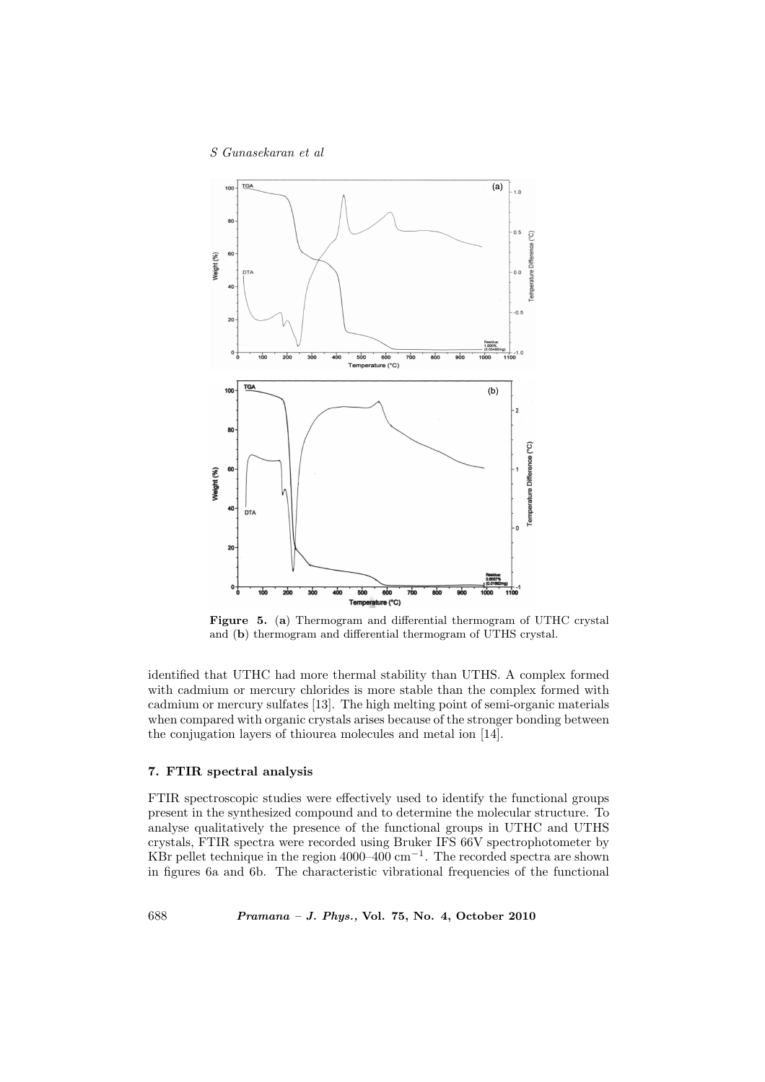

Figure 5. (a) Thermogram and differential thermogram of UTHC crystal and (b) thermogram and differential thermogram of UTHS crystal.

identified that UTHC had more thermal stability than UTHS. A complex formed with cadmium or mercury chlorides is more stable than the complex formed with cadmium or mercury sulfates [13]. The high melting point of semi-organic materials when compared with organic crystals arises because of the stronger bonding between the conjugation layers of thiourea molecules and metal ion [14].

## 7. FTIR spectral analysis

FTIR spectroscopic studies were effectively used to identify the functional groups present in the synthesized compound and to determine the molecular structure. To analyse qualitatively the presence of the functional groups in UTHC and UTHS crystals, FTIR spectra were recorded using Bruker IFS 66V spectrophotometer by KBr pellet technique in the region 4000–400 cm<sup>-1</sup>. The recorded spectra are shown in figures 6a and 6b. The characteristic vibrational frequencies of the functional

688 Pramana – J. Phys., Vol. 75, No. 4, October 2010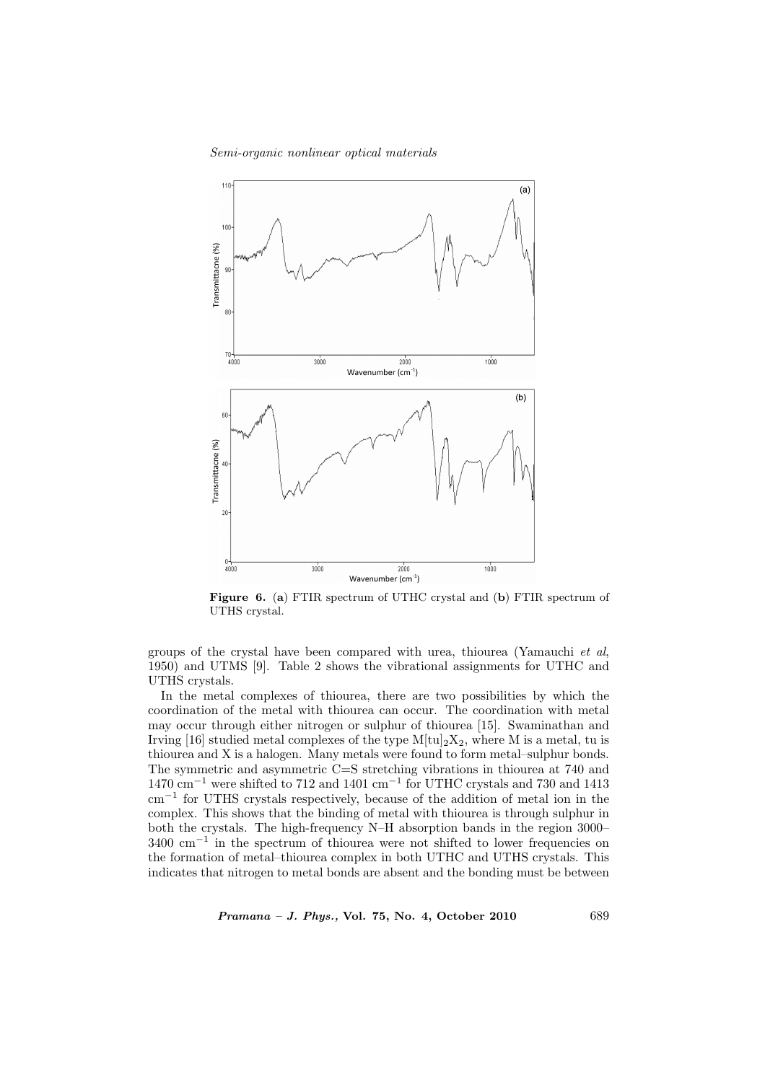## Semi-organic nonlinear optical materials



Figure 6. (a) FTIR spectrum of UTHC crystal and (b) FTIR spectrum of UTHS crystal.

groups of the crystal have been compared with urea, thiourea (Yamauchi et al, 1950) and UTMS [9]. Table 2 shows the vibrational assignments for UTHC and UTHS crystals.

In the metal complexes of thiourea, there are two possibilities by which the coordination of the metal with thiourea can occur. The coordination with metal may occur through either nitrogen or sulphur of thiourea [15]. Swaminathan and Irving [16] studied metal complexes of the type  $M[tu]_2X_2$ , where M is a metal, tu is thiourea and X is a halogen. Many metals were found to form metal–sulphur bonds. The symmetric and asymmetric C=S stretching vibrations in thiourea at 740 and 1470 cm<sup>−</sup><sup>1</sup> were shifted to 712 and 1401 cm<sup>−</sup><sup>1</sup> for UTHC crystals and 730 and 1413 cm<sup>−</sup><sup>1</sup> for UTHS crystals respectively, because of the addition of metal ion in the complex. This shows that the binding of metal with thiourea is through sulphur in both the crystals. The high-frequency N–H absorption bands in the region 3000– 3400 cm<sup>−</sup><sup>1</sup> in the spectrum of thiourea were not shifted to lower frequencies on the formation of metal–thiourea complex in both UTHC and UTHS crystals. This indicates that nitrogen to metal bonds are absent and the bonding must be between

Pramana – J. Phys., Vol. 75, No. 4, October 2010 689